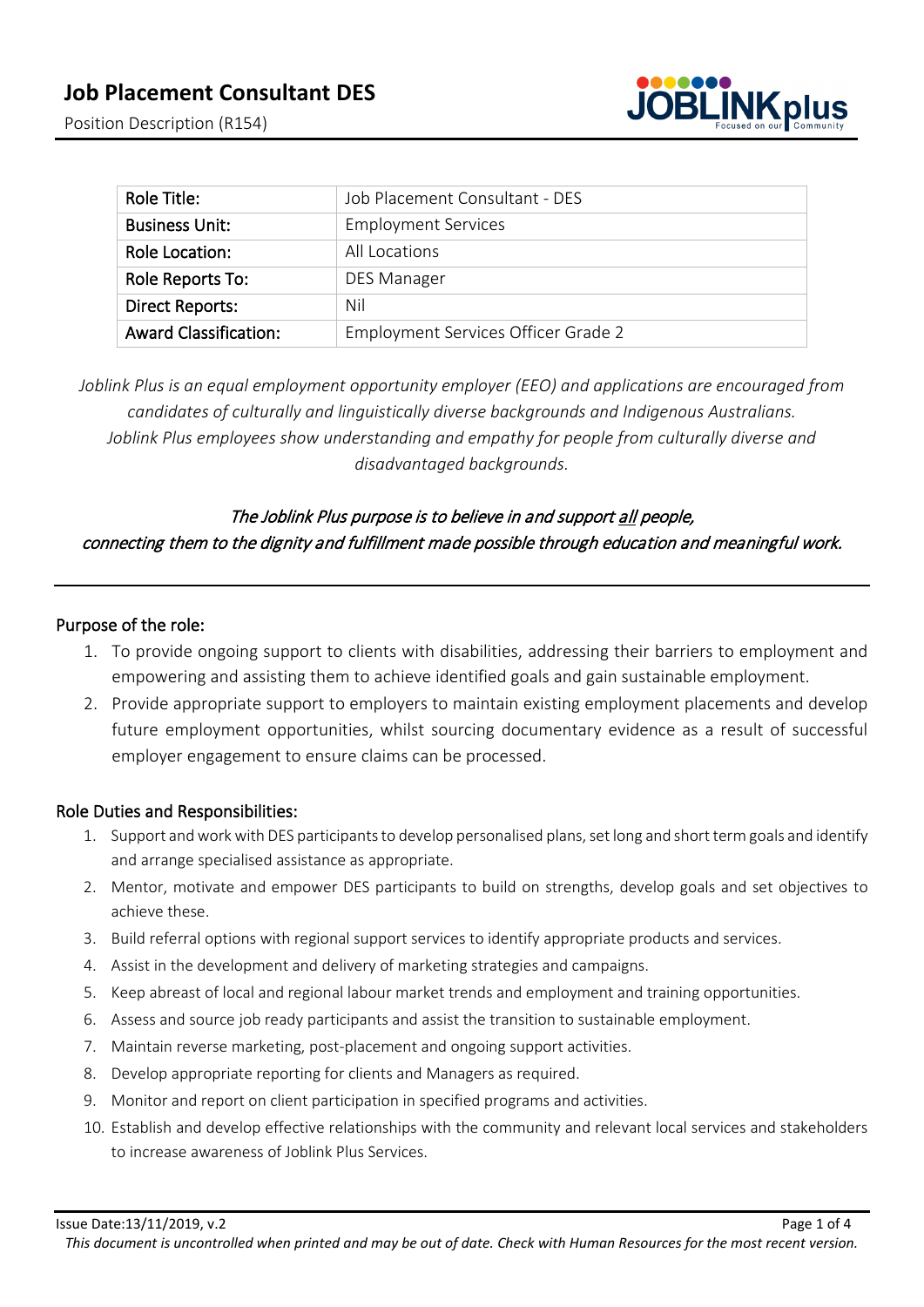

| Role Title:                  | Job Placement Consultant - DES      |
|------------------------------|-------------------------------------|
| <b>Business Unit:</b>        | <b>Employment Services</b>          |
| Role Location:               | All Locations                       |
| Role Reports To:             | <b>DES Manager</b>                  |
| <b>Direct Reports:</b>       | Nil                                 |
| <b>Award Classification:</b> | Employment Services Officer Grade 2 |

*Joblink Plus is an equal employment opportunity employer (EEO) and applications are encouraged from candidates of culturally and linguistically diverse backgrounds and Indigenous Australians. Joblink Plus employees show understanding and empathy for people from culturally diverse and disadvantaged backgrounds.*

# The Joblink Plus purpose is to believe in and support all people, connecting them to the dignity and fulfillment made possible through education and meaningful work.

## Purpose of the role:

- 1. To provide ongoing support to clients with disabilities, addressing their barriers to employment and empowering and assisting them to achieve identified goals and gain sustainable employment.
- 2. Provide appropriate support to employers to maintain existing employment placements and develop future employment opportunities, whilst sourcing documentary evidence as a result of successful employer engagement to ensure claims can be processed.

# Role Duties and Responsibilities:

- 1. Support and work with DES participants to develop personalised plans, set long and short term goals and identify and arrange specialised assistance as appropriate.
- 2. Mentor, motivate and empower DES participants to build on strengths, develop goals and set objectives to achieve these.
- 3. Build referral options with regional support services to identify appropriate products and services.
- 4. Assist in the development and delivery of marketing strategies and campaigns.
- 5. Keep abreast of local and regional labour market trends and employment and training opportunities.
- 6. Assess and source job ready participants and assist the transition to sustainable employment.
- 7. Maintain reverse marketing, post-placement and ongoing support activities.
- 8. Develop appropriate reporting for clients and Managers as required.
- 9. Monitor and report on client participation in specified programs and activities.
- 10. Establish and develop effective relationships with the community and relevant local services and stakeholders to increase awareness of Joblink Plus Services.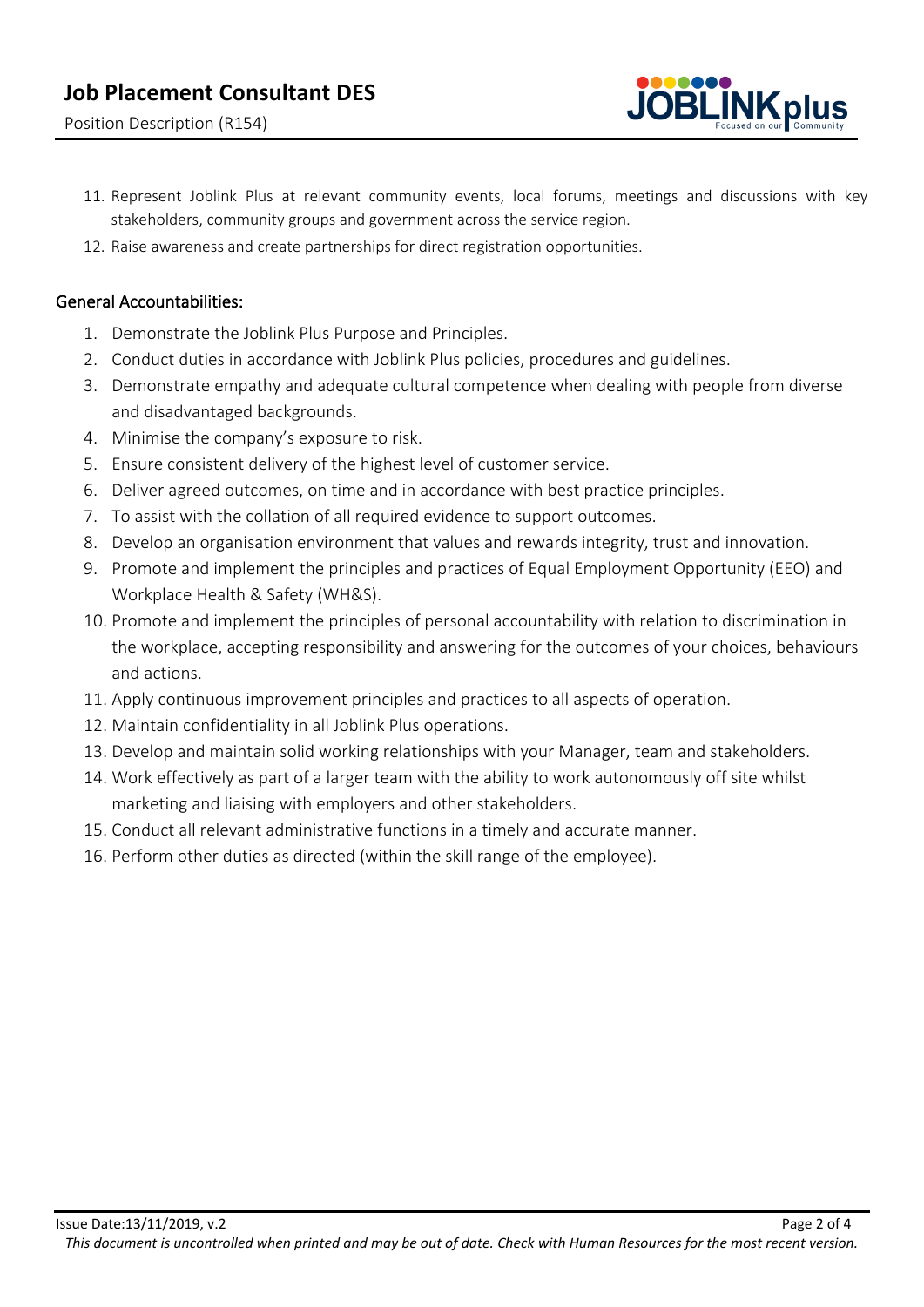

- 11. Represent Joblink Plus at relevant community events, local forums, meetings and discussions with key stakeholders, community groups and government across the service region.
- 12. Raise awareness and create partnerships for direct registration opportunities.

# General Accountabilities:

- 1. Demonstrate the Joblink Plus Purpose and Principles.
- 2. Conduct duties in accordance with Joblink Plus policies, procedures and guidelines.
- 3. Demonstrate empathy and adequate cultural competence when dealing with people from diverse and disadvantaged backgrounds.
- 4. Minimise the company's exposure to risk.
- 5. Ensure consistent delivery of the highest level of customer service.
- 6. Deliver agreed outcomes, on time and in accordance with best practice principles.
- 7. To assist with the collation of all required evidence to support outcomes.
- 8. Develop an organisation environment that values and rewards integrity, trust and innovation.
- 9. Promote and implement the principles and practices of Equal Employment Opportunity (EEO) and Workplace Health & Safety (WH&S).
- 10. Promote and implement the principles of personal accountability with relation to discrimination in the workplace, accepting responsibility and answering for the outcomes of your choices, behaviours and actions.
- 11. Apply continuous improvement principles and practices to all aspects of operation.
- 12. Maintain confidentiality in all Joblink Plus operations.
- 13. Develop and maintain solid working relationships with your Manager, team and stakeholders.
- 14. Work effectively as part of a larger team with the ability to work autonomously off site whilst marketing and liaising with employers and other stakeholders.
- 15. Conduct all relevant administrative functions in a timely and accurate manner.
- 16. Perform other duties as directed (within the skill range of the employee).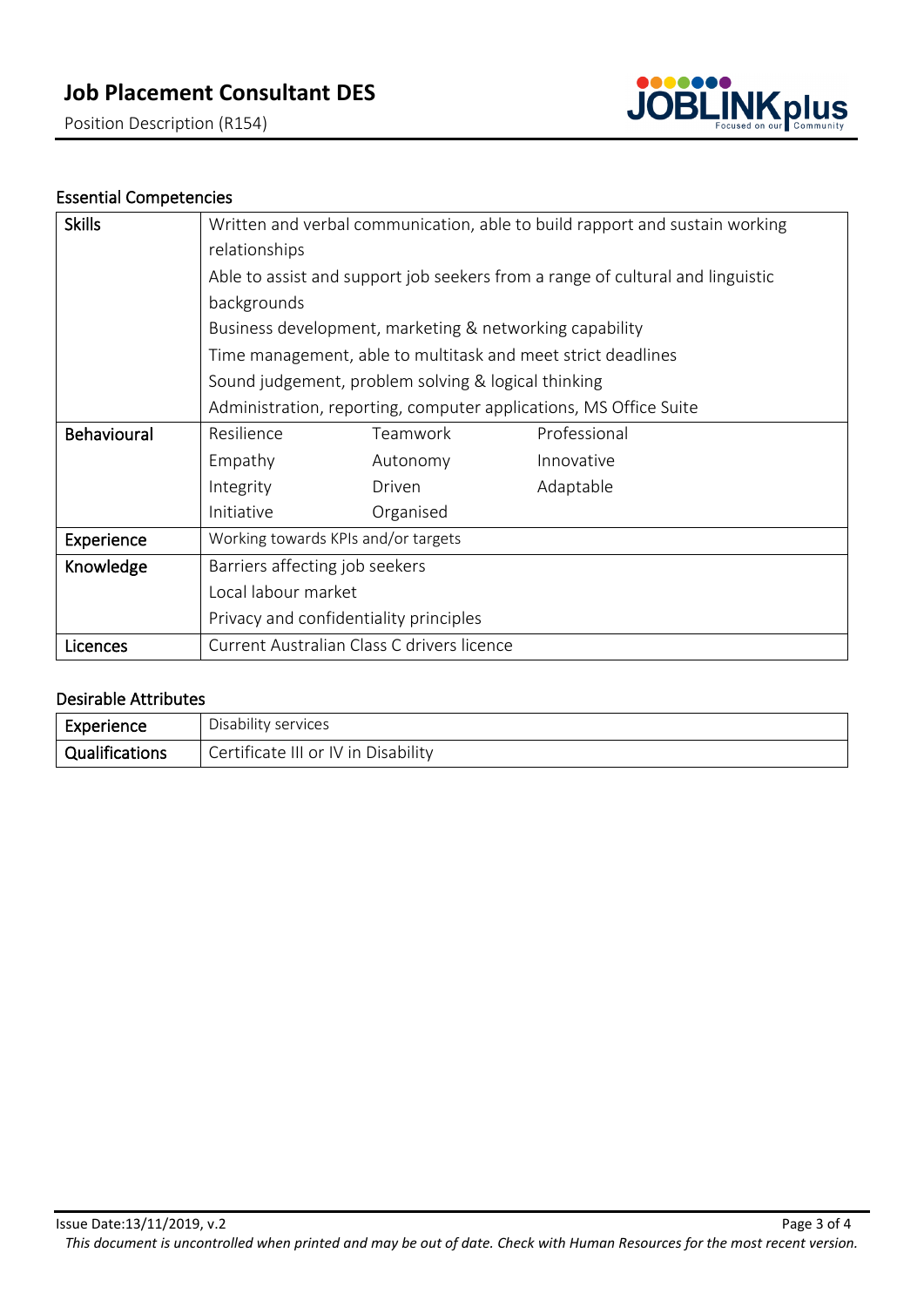Position Description (R154)



# Essential Competencies

| <b>Skills</b> | Written and verbal communication, able to build rapport and sustain working    |                                            |              |  |  |
|---------------|--------------------------------------------------------------------------------|--------------------------------------------|--------------|--|--|
|               | relationships                                                                  |                                            |              |  |  |
|               | Able to assist and support job seekers from a range of cultural and linguistic |                                            |              |  |  |
|               | backgrounds                                                                    |                                            |              |  |  |
|               | Business development, marketing & networking capability                        |                                            |              |  |  |
|               | Time management, able to multitask and meet strict deadlines                   |                                            |              |  |  |
|               | Sound judgement, problem solving & logical thinking                            |                                            |              |  |  |
|               | Administration, reporting, computer applications, MS Office Suite              |                                            |              |  |  |
| Behavioural   | Resilience                                                                     | Teamwork                                   | Professional |  |  |
|               | Empathy                                                                        | Autonomy                                   | Innovative   |  |  |
|               | Integrity                                                                      | Driven                                     | Adaptable    |  |  |
|               | Initiative                                                                     | Organised                                  |              |  |  |
| Experience    | Working towards KPIs and/or targets                                            |                                            |              |  |  |
| Knowledge     | Barriers affecting job seekers                                                 |                                            |              |  |  |
|               | Local labour market                                                            |                                            |              |  |  |
|               | Privacy and confidentiality principles                                         |                                            |              |  |  |
| Licences      |                                                                                | Current Australian Class C drivers licence |              |  |  |

## Desirable Attributes

| Experience            | Disability services                 |
|-----------------------|-------------------------------------|
| <b>Qualifications</b> | Certificate III or IV in Disability |